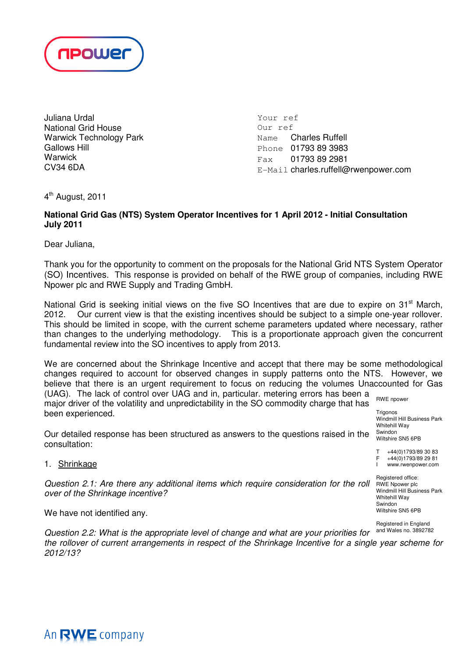

Juliana Urdal National Grid House Warwick Technology Park Gallows Hill **Warwick** CV34 6DA

Your ref Our ref Name Charles Ruffell Phone 01793 89 3983 Fax 01793 89 2981 E-Mail charles.ruffell@rwenpower.com

4 th August, 2011

# **National Grid Gas (NTS) System Operator Incentives for 1 April 2012 - Initial Consultation July 2011**

Dear Juliana,

Thank you for the opportunity to comment on the proposals for the National Grid NTS System Operator (SO) Incentives. This response is provided on behalf of the RWE group of companies, including RWE Npower plc and RWE Supply and Trading GmbH.

National Grid is seeking initial views on the five SO Incentives that are due to expire on 31<sup>st</sup> March, 2012. Our current view is that the existing incentives should be subject to a simple one-year rollover. This should be limited in scope, with the current scheme parameters updated where necessary, rather than changes to the underlying methodology. This is a proportionate approach given the concurrent fundamental review into the SO incentives to apply from 2013.

RWE npower We are concerned about the Shrinkage Incentive and accept that there may be some methodological changes required to account for observed changes in supply patterns onto the NTS. However, we believe that there is an urgent requirement to focus on reducing the volumes Unaccounted for Gas (UAG). The lack of control over UAG and in, particular. metering errors has been a

major driver of the volatility and unpredictability in the SO commodity charge that has been experienced.

Our detailed response has been structured as answers to the questions raised in the consultation:

1. Shrinkage

Question 2.1: Are there any additional items which require consideration for the roll over of the Shrinkage incentive?

We have not identified any.

Question 2.2: What is the appropriate level of change and what are your priorities for the rollover of current arrangements in respect of the Shrinkage Incentive for a single year scheme for 2012/13?

 $F +44(0)1793/892981$ <br>I www.rwenpower.com www.rwenpower.com Registered office: RWE Npower plc Windmill Hill Business Park Whitehill Way Swindon

 $T +44(0)1793/893083$ <br>F  $+44(0)1793/892981$ 

Windmill Hill Business Park

**Trigonos** 

Whitehill Way Swindon Wiltshire SN5 6PB

Registered in England and Wales no. 3892782

Wiltshire SN5 6PB

An RWE company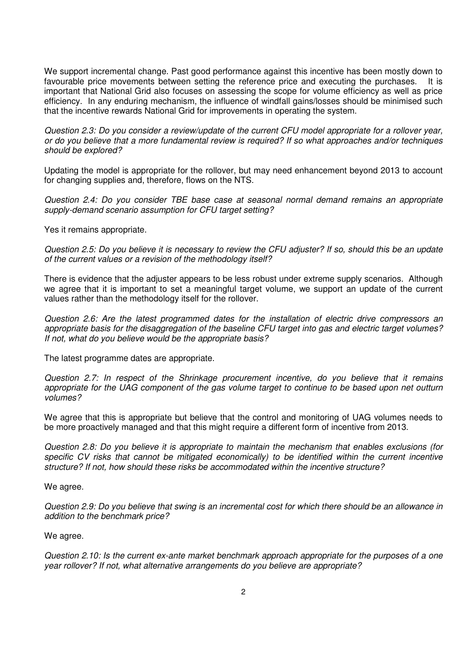We support incremental change. Past good performance against this incentive has been mostly down to favourable price movements between setting the reference price and executing the purchases. It is important that National Grid also focuses on assessing the scope for volume efficiency as well as price efficiency. In any enduring mechanism, the influence of windfall gains/losses should be minimised such that the incentive rewards National Grid for improvements in operating the system.

Question 2.3: Do you consider a review/update of the current CFU model appropriate for a rollover year, or do you believe that a more fundamental review is required? If so what approaches and/or techniques should be explored?

Updating the model is appropriate for the rollover, but may need enhancement beyond 2013 to account for changing supplies and, therefore, flows on the NTS.

Question 2.4: Do you consider TBE base case at seasonal normal demand remains an appropriate supply-demand scenario assumption for CFU target setting?

Yes it remains appropriate.

Question 2.5: Do you believe it is necessary to review the CFU adjuster? If so, should this be an update of the current values or a revision of the methodology itself?

There is evidence that the adjuster appears to be less robust under extreme supply scenarios. Although we agree that it is important to set a meaningful target volume, we support an update of the current values rather than the methodology itself for the rollover.

Question 2.6: Are the latest programmed dates for the installation of electric drive compressors an appropriate basis for the disaggregation of the baseline CFU target into gas and electric target volumes? If not, what do you believe would be the appropriate basis?

The latest programme dates are appropriate.

Question 2.7: In respect of the Shrinkage procurement incentive, do you believe that it remains appropriate for the UAG component of the gas volume target to continue to be based upon net outturn volumes?

We agree that this is appropriate but believe that the control and monitoring of UAG volumes needs to be more proactively managed and that this might require a different form of incentive from 2013.

Question 2.8: Do you believe it is appropriate to maintain the mechanism that enables exclusions (for specific CV risks that cannot be mitigated economically) to be identified within the current incentive structure? If not, how should these risks be accommodated within the incentive structure?

We agree.

Question 2.9: Do you believe that swing is an incremental cost for which there should be an allowance in addition to the benchmark price?

We agree.

Question 2.10: Is the current ex-ante market benchmark approach appropriate for the purposes of a one year rollover? If not, what alternative arrangements do you believe are appropriate?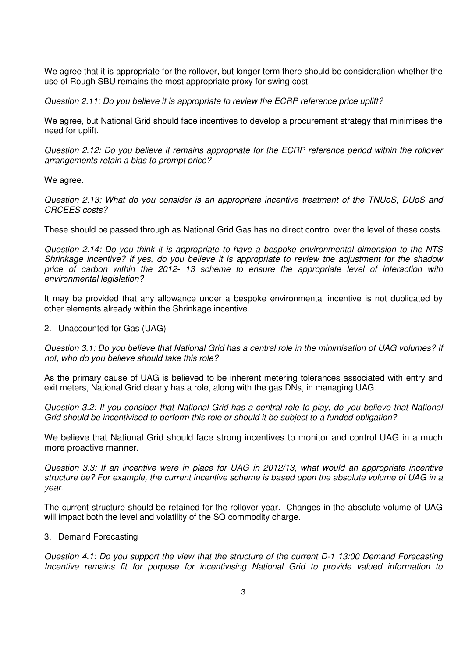We agree that it is appropriate for the rollover, but longer term there should be consideration whether the use of Rough SBU remains the most appropriate proxy for swing cost.

Question 2.11: Do you believe it is appropriate to review the ECRP reference price uplift?

We agree, but National Grid should face incentives to develop a procurement strategy that minimises the need for uplift.

Question 2.12: Do you believe it remains appropriate for the ECRP reference period within the rollover arrangements retain a bias to prompt price?

We agree.

Question 2.13: What do you consider is an appropriate incentive treatment of the TNUoS, DUoS and CRCEES costs?

These should be passed through as National Grid Gas has no direct control over the level of these costs.

Question 2.14: Do you think it is appropriate to have a bespoke environmental dimension to the NTS Shrinkage incentive? If yes, do you believe it is appropriate to review the adjustment for the shadow price of carbon within the 2012- 13 scheme to ensure the appropriate level of interaction with environmental legislation?

It may be provided that any allowance under a bespoke environmental incentive is not duplicated by other elements already within the Shrinkage incentive.

## 2. Unaccounted for Gas (UAG)

Question 3.1: Do you believe that National Grid has a central role in the minimisation of UAG volumes? If not, who do you believe should take this role?

As the primary cause of UAG is believed to be inherent metering tolerances associated with entry and exit meters, National Grid clearly has a role, along with the gas DNs, in managing UAG.

Question 3.2: If you consider that National Grid has a central role to play, do you believe that National Grid should be incentivised to perform this role or should it be subject to a funded obligation?

We believe that National Grid should face strong incentives to monitor and control UAG in a much more proactive manner.

Question 3.3: If an incentive were in place for UAG in 2012/13, what would an appropriate incentive structure be? For example, the current incentive scheme is based upon the absolute volume of UAG in a year.

The current structure should be retained for the rollover year. Changes in the absolute volume of UAG will impact both the level and volatility of the SO commodity charge.

## 3. Demand Forecasting

Question 4.1: Do you support the view that the structure of the current D-1 13:00 Demand Forecasting Incentive remains fit for purpose for incentivising National Grid to provide valued information to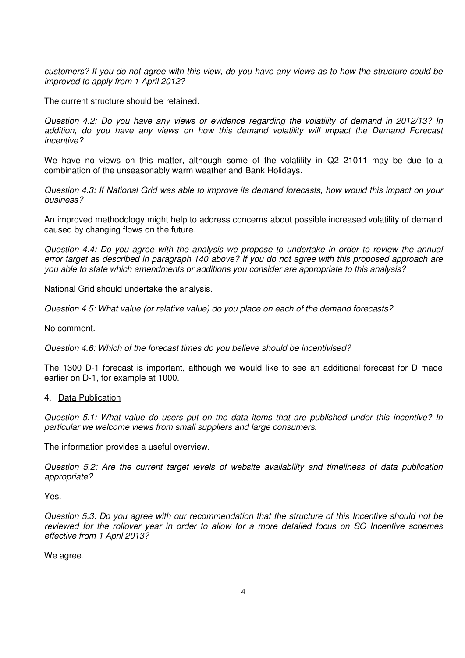customers? If you do not agree with this view, do you have any views as to how the structure could be improved to apply from 1 April 2012?

The current structure should be retained.

Question 4.2: Do you have any views or evidence regarding the volatility of demand in 2012/13? In addition, do you have any views on how this demand volatility will impact the Demand Forecast incentive?

We have no views on this matter, although some of the volatility in Q2 21011 may be due to a combination of the unseasonably warm weather and Bank Holidays.

Question 4.3: If National Grid was able to improve its demand forecasts, how would this impact on your business?

An improved methodology might help to address concerns about possible increased volatility of demand caused by changing flows on the future.

Question 4.4: Do you agree with the analysis we propose to undertake in order to review the annual error target as described in paragraph 140 above? If you do not agree with this proposed approach are you able to state which amendments or additions you consider are appropriate to this analysis?

National Grid should undertake the analysis.

Question 4.5: What value (or relative value) do you place on each of the demand forecasts?

No comment.

Question 4.6: Which of the forecast times do you believe should be incentivised?

The 1300 D-1 forecast is important, although we would like to see an additional forecast for D made earlier on D-1, for example at 1000.

## 4. Data Publication

Question 5.1: What value do users put on the data items that are published under this incentive? In particular we welcome views from small suppliers and large consumers.

The information provides a useful overview.

Question 5.2: Are the current target levels of website availability and timeliness of data publication appropriate?

Yes.

Question 5.3: Do you agree with our recommendation that the structure of this Incentive should not be reviewed for the rollover year in order to allow for a more detailed focus on SO Incentive schemes effective from 1 April 2013?

We agree.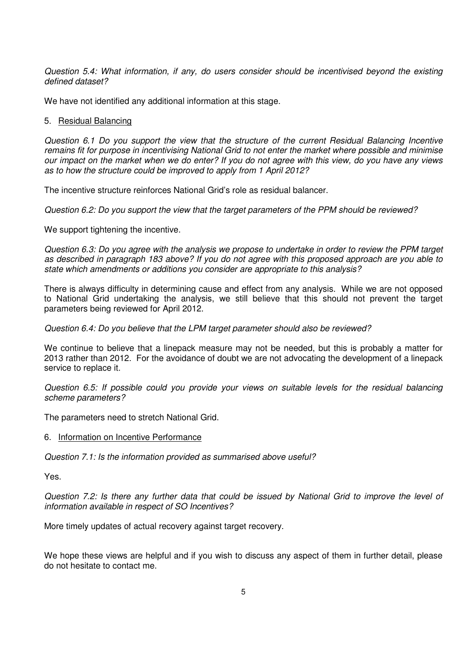Question 5.4: What information, if any, do users consider should be incentivised beyond the existing defined dataset?

We have not identified any additional information at this stage.

## 5. Residual Balancing

Question 6.1 Do you support the view that the structure of the current Residual Balancing Incentive remains fit for purpose in incentivising National Grid to not enter the market where possible and minimise our impact on the market when we do enter? If you do not agree with this view, do you have any views as to how the structure could be improved to apply from 1 April 2012?

The incentive structure reinforces National Grid's role as residual balancer.

Question 6.2: Do you support the view that the target parameters of the PPM should be reviewed?

We support tightening the incentive.

Question 6.3: Do you agree with the analysis we propose to undertake in order to review the PPM target as described in paragraph 183 above? If you do not agree with this proposed approach are you able to state which amendments or additions you consider are appropriate to this analysis?

There is always difficulty in determining cause and effect from any analysis. While we are not opposed to National Grid undertaking the analysis, we still believe that this should not prevent the target parameters being reviewed for April 2012.

Question 6.4: Do you believe that the LPM target parameter should also be reviewed?

We continue to believe that a linepack measure may not be needed, but this is probably a matter for 2013 rather than 2012. For the avoidance of doubt we are not advocating the development of a linepack service to replace it.

Question 6.5: If possible could you provide your views on suitable levels for the residual balancing scheme parameters?

The parameters need to stretch National Grid.

## 6. Information on Incentive Performance

Question 7.1: Is the information provided as summarised above useful?

Yes.

Question 7.2: Is there any further data that could be issued by National Grid to improve the level of information available in respect of SO Incentives?

More timely updates of actual recovery against target recovery.

We hope these views are helpful and if you wish to discuss any aspect of them in further detail, please do not hesitate to contact me.